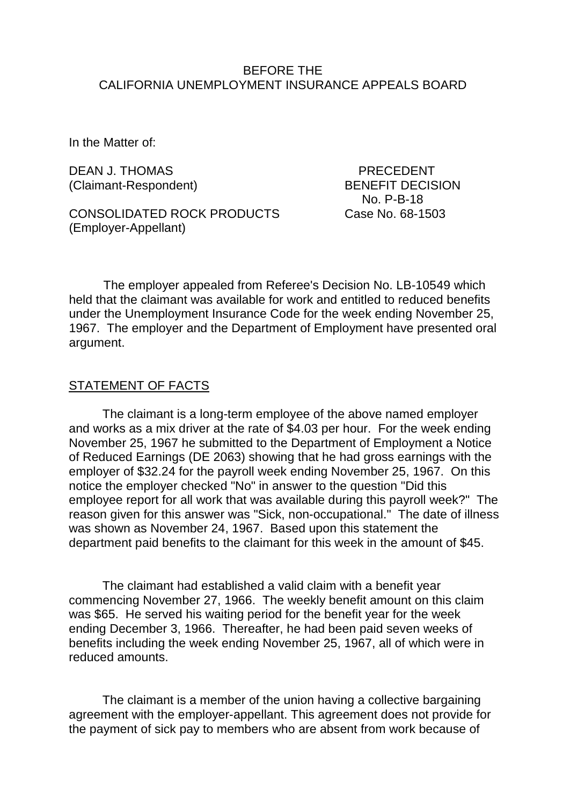## BEFORE THE CALIFORNIA UNEMPLOYMENT INSURANCE APPEALS BOARD

In the Matter of:

DEAN J. THOMAS PRECEDENT (Claimant-Respondent) BENEFIT DECISION

CONSOLIDATED ROCK PRODUCTS Case No. 68-1503 (Employer-Appellant)

No. P-B-18

The employer appealed from Referee's Decision No. LB-10549 which held that the claimant was available for work and entitled to reduced benefits under the Unemployment Insurance Code for the week ending November 25, 1967. The employer and the Department of Employment have presented oral argument.

#### STATEMENT OF FACTS

The claimant is a long-term employee of the above named employer and works as a mix driver at the rate of \$4.03 per hour. For the week ending November 25, 1967 he submitted to the Department of Employment a Notice of Reduced Earnings (DE 2063) showing that he had gross earnings with the employer of \$32.24 for the payroll week ending November 25, 1967. On this notice the employer checked "No" in answer to the question "Did this employee report for all work that was available during this payroll week?" The reason given for this answer was "Sick, non-occupational." The date of illness was shown as November 24, 1967. Based upon this statement the department paid benefits to the claimant for this week in the amount of \$45.

The claimant had established a valid claim with a benefit year commencing November 27, 1966. The weekly benefit amount on this claim was \$65. He served his waiting period for the benefit year for the week ending December 3, 1966. Thereafter, he had been paid seven weeks of benefits including the week ending November 25, 1967, all of which were in reduced amounts.

The claimant is a member of the union having a collective bargaining agreement with the employer-appellant. This agreement does not provide for the payment of sick pay to members who are absent from work because of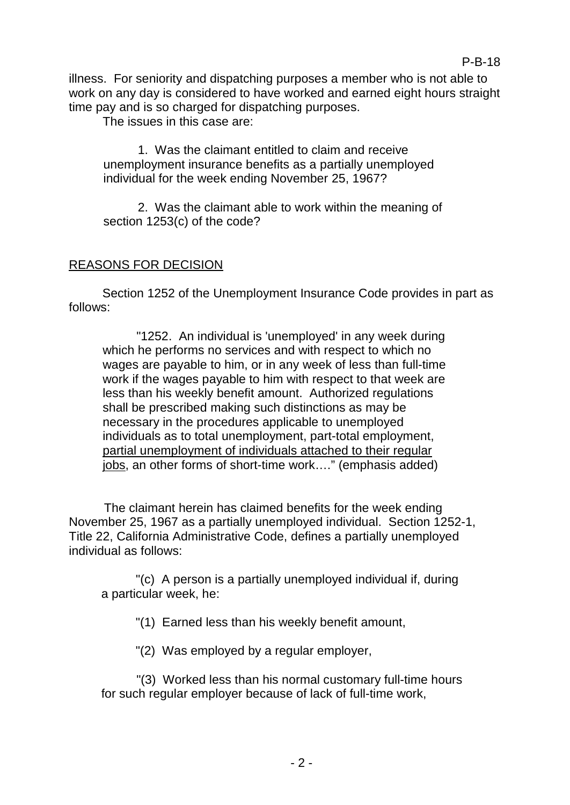illness. For seniority and dispatching purposes a member who is not able to work on any day is considered to have worked and earned eight hours straight time pay and is so charged for dispatching purposes.

The issues in this case are:

1. Was the claimant entitled to claim and receive unemployment insurance benefits as a partially unemployed individual for the week ending November 25, 1967?

2. Was the claimant able to work within the meaning of section 1253(c) of the code?

# REASONS FOR DECISION

Section 1252 of the Unemployment Insurance Code provides in part as follows:

"1252. An individual is 'unemployed' in any week during which he performs no services and with respect to which no wages are payable to him, or in any week of less than full-time work if the wages payable to him with respect to that week are less than his weekly benefit amount. Authorized regulations shall be prescribed making such distinctions as may be necessary in the procedures applicable to unemployed individuals as to total unemployment, part-total employment, partial unemployment of individuals attached to their regular jobs, an other forms of short-time work…." (emphasis added)

The claimant herein has claimed benefits for the week ending November 25, 1967 as a partially unemployed individual. Section 1252-1, Title 22, California Administrative Code, defines a partially unemployed individual as follows:

"(c) A person is a partially unemployed individual if, during a particular week, he:

"(1) Earned less than his weekly benefit amount,

"(2) Was employed by a regular employer,

"(3) Worked less than his normal customary full-time hours for such regular employer because of lack of full-time work,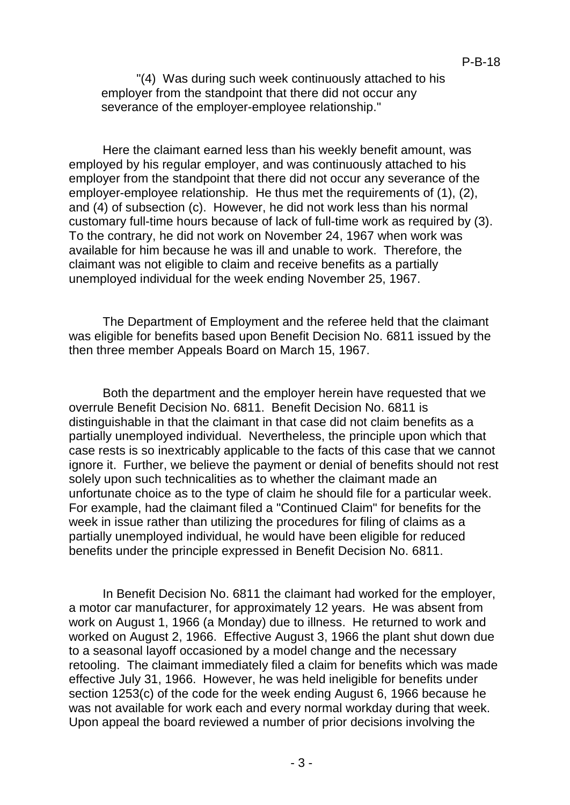"(4) Was during such week continuously attached to his employer from the standpoint that there did not occur any severance of the employer-employee relationship."

Here the claimant earned less than his weekly benefit amount, was employed by his regular employer, and was continuously attached to his employer from the standpoint that there did not occur any severance of the employer-employee relationship. He thus met the requirements of (1), (2), and (4) of subsection (c). However, he did not work less than his normal customary full-time hours because of lack of full-time work as required by (3). To the contrary, he did not work on November 24, 1967 when work was available for him because he was ill and unable to work. Therefore, the claimant was not eligible to claim and receive benefits as a partially unemployed individual for the week ending November 25, 1967.

The Department of Employment and the referee held that the claimant was eligible for benefits based upon Benefit Decision No. 6811 issued by the then three member Appeals Board on March 15, 1967.

Both the department and the employer herein have requested that we overrule Benefit Decision No. 6811. Benefit Decision No. 6811 is distinguishable in that the claimant in that case did not claim benefits as a partially unemployed individual. Nevertheless, the principle upon which that case rests is so inextricably applicable to the facts of this case that we cannot ignore it. Further, we believe the payment or denial of benefits should not rest solely upon such technicalities as to whether the claimant made an unfortunate choice as to the type of claim he should file for a particular week. For example, had the claimant filed a "Continued Claim" for benefits for the week in issue rather than utilizing the procedures for filing of claims as a partially unemployed individual, he would have been eligible for reduced benefits under the principle expressed in Benefit Decision No. 6811.

In Benefit Decision No. 6811 the claimant had worked for the employer, a motor car manufacturer, for approximately 12 years. He was absent from work on August 1, 1966 (a Monday) due to illness. He returned to work and worked on August 2, 1966. Effective August 3, 1966 the plant shut down due to a seasonal layoff occasioned by a model change and the necessary retooling. The claimant immediately filed a claim for benefits which was made effective July 31, 1966. However, he was held ineligible for benefits under section 1253(c) of the code for the week ending August 6, 1966 because he was not available for work each and every normal workday during that week. Upon appeal the board reviewed a number of prior decisions involving the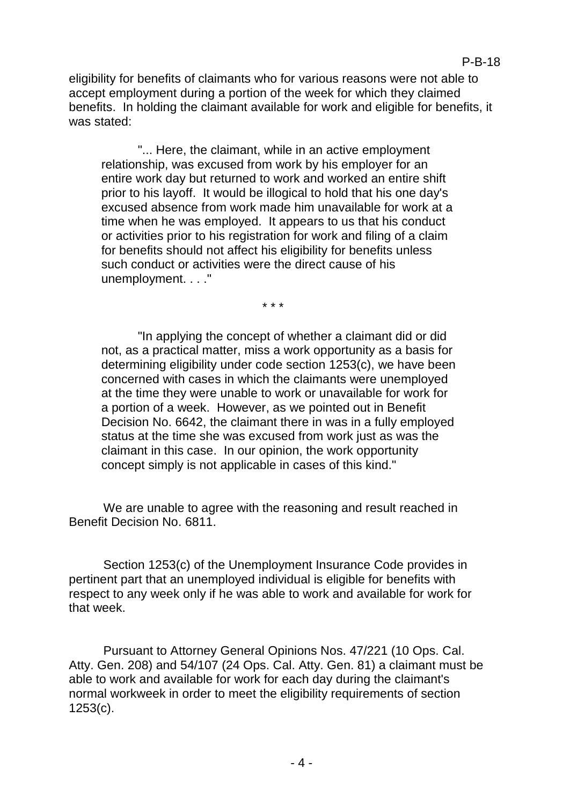eligibility for benefits of claimants who for various reasons were not able to accept employment during a portion of the week for which they claimed benefits. In holding the claimant available for work and eligible for benefits, it was stated:

"... Here, the claimant, while in an active employment relationship, was excused from work by his employer for an entire work day but returned to work and worked an entire shift prior to his layoff. It would be illogical to hold that his one day's excused absence from work made him unavailable for work at a time when he was employed. It appears to us that his conduct or activities prior to his registration for work and filing of a claim for benefits should not affect his eligibility for benefits unless such conduct or activities were the direct cause of his unemployment. . . ."

 $\star \star \star$ 

"In applying the concept of whether a claimant did or did not, as a practical matter, miss a work opportunity as a basis for determining eligibility under code section 1253(c), we have been concerned with cases in which the claimants were unemployed at the time they were unable to work or unavailable for work for a portion of a week. However, as we pointed out in Benefit Decision No. 6642, the claimant there in was in a fully employed status at the time she was excused from work just as was the claimant in this case. In our opinion, the work opportunity concept simply is not applicable in cases of this kind."

We are unable to agree with the reasoning and result reached in Benefit Decision No. 6811.

Section 1253(c) of the Unemployment Insurance Code provides in pertinent part that an unemployed individual is eligible for benefits with respect to any week only if he was able to work and available for work for that week.

Pursuant to Attorney General Opinions Nos. 47/221 (10 Ops. Cal. Atty. Gen. 208) and 54/107 (24 Ops. Cal. Atty. Gen. 81) a claimant must be able to work and available for work for each day during the claimant's normal workweek in order to meet the eligibility requirements of section 1253(c).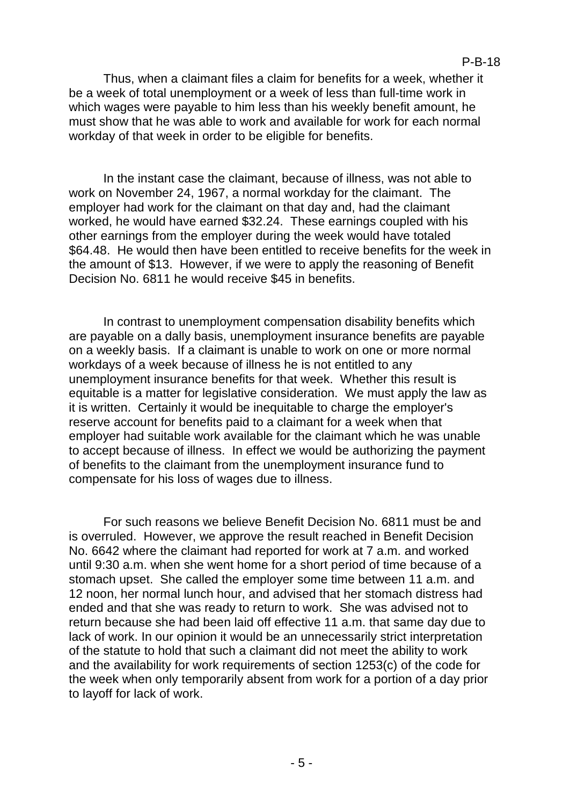#### P-B-18

Thus, when a claimant files a claim for benefits for a week, whether it be a week of total unemployment or a week of less than full-time work in which wages were payable to him less than his weekly benefit amount, he must show that he was able to work and available for work for each normal workday of that week in order to be eligible for benefits.

In the instant case the claimant, because of illness, was not able to work on November 24, 1967, a normal workday for the claimant. The employer had work for the claimant on that day and, had the claimant worked, he would have earned \$32.24. These earnings coupled with his other earnings from the employer during the week would have totaled \$64.48. He would then have been entitled to receive benefits for the week in the amount of \$13. However, if we were to apply the reasoning of Benefit Decision No. 6811 he would receive \$45 in benefits.

In contrast to unemployment compensation disability benefits which are payable on a dally basis, unemployment insurance benefits are payable on a weekly basis. If a claimant is unable to work on one or more normal workdays of a week because of illness he is not entitled to any unemployment insurance benefits for that week. Whether this result is equitable is a matter for legislative consideration. We must apply the law as it is written. Certainly it would be inequitable to charge the employer's reserve account for benefits paid to a claimant for a week when that employer had suitable work available for the claimant which he was unable to accept because of illness. In effect we would be authorizing the payment of benefits to the claimant from the unemployment insurance fund to compensate for his loss of wages due to illness.

For such reasons we believe Benefit Decision No. 6811 must be and is overruled. However, we approve the result reached in Benefit Decision No. 6642 where the claimant had reported for work at 7 a.m. and worked until 9:30 a.m. when she went home for a short period of time because of a stomach upset. She called the employer some time between 11 a.m. and 12 noon, her normal lunch hour, and advised that her stomach distress had ended and that she was ready to return to work. She was advised not to return because she had been laid off effective 11 a.m. that same day due to lack of work. In our opinion it would be an unnecessarily strict interpretation of the statute to hold that such a claimant did not meet the ability to work and the availability for work requirements of section 1253(c) of the code for the week when only temporarily absent from work for a portion of a day prior to layoff for lack of work.